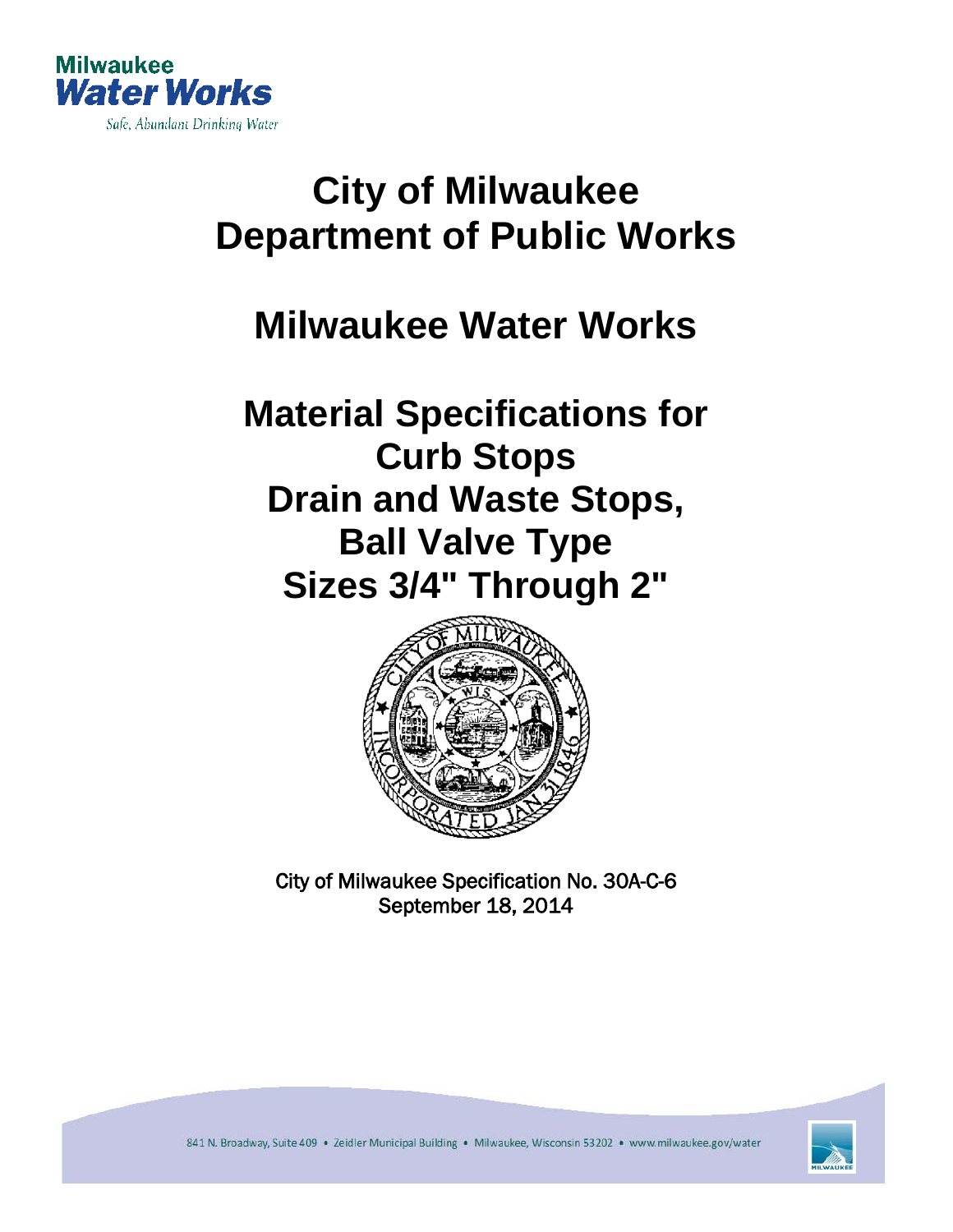

# **City of Milwaukee Department of Public Works**

# **Milwaukee Water Works**

# **Material Specifications for Curb Stops Drain and Waste Stops, Ball Valve Type Sizes 3/4" Through 2"**



City of Milwaukee Specification No. 30A-C-6 September 18, 2014



841 N. Broadway, Suite 409 · Zeidler Municipal Building · Milwaukee, Wisconsin 53202 · www.milwaukee.gov/water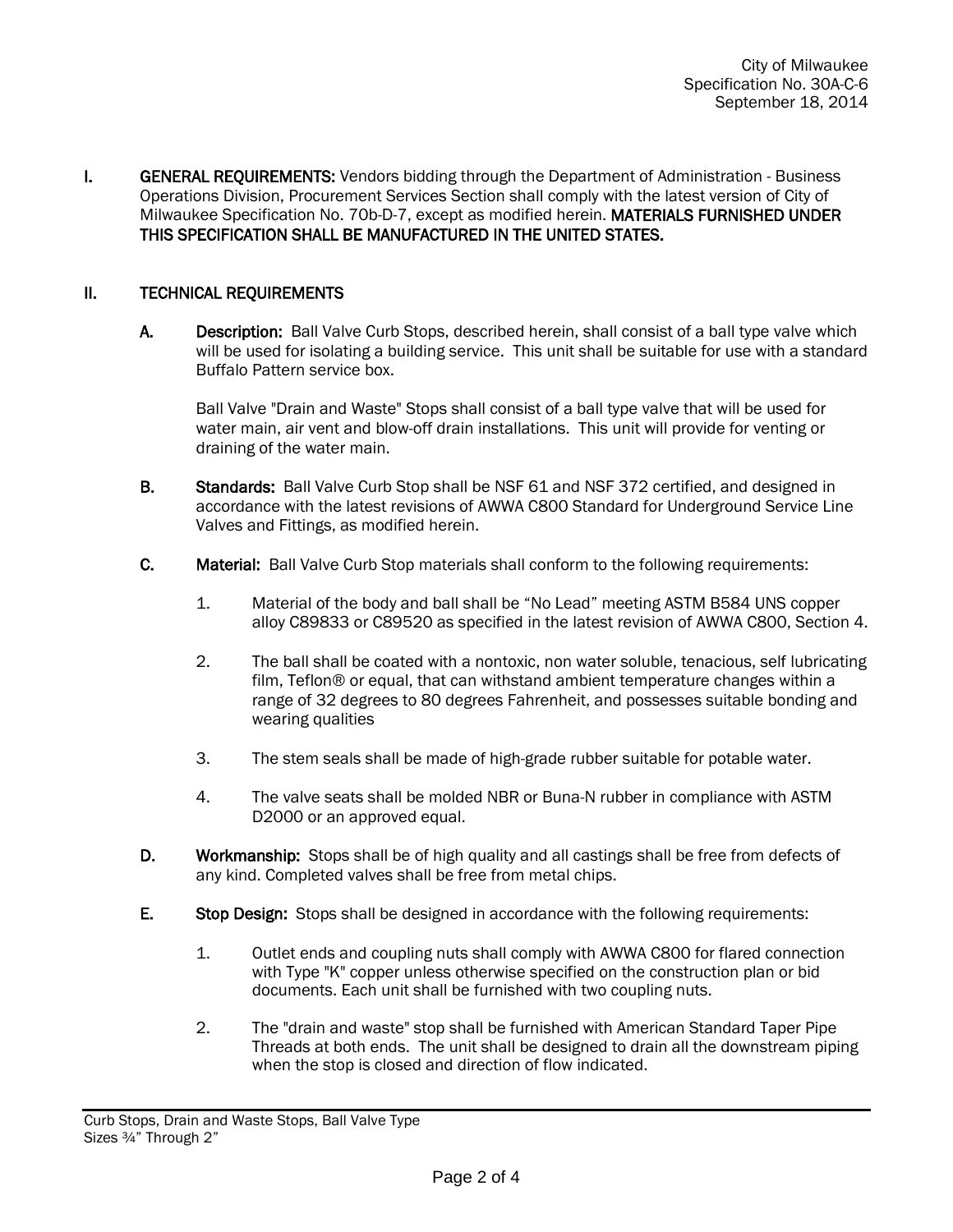**I. GENERAL REQUIREMENTS:** Vendors bidding through the Department of Administration - Business Operations Division, Procurement Services Section shall comply with the latest version of City of Milwaukee Specification No. 70b-D-7, except as modified herein. MATERIALS FURNISHED UNDER THIS SPECIFICATION SHALL BE MANUFACTURED IN THE UNITED STATES.

### II. TECHNICAL REQUIREMENTS

A. Description: Ball Valve Curb Stops, described herein, shall consist of a ball type valve which will be used for isolating a building service. This unit shall be suitable for use with a standard Buffalo Pattern service box.

Ball Valve "Drain and Waste" Stops shall consist of a ball type valve that will be used for water main, air vent and blow-off drain installations. This unit will provide for venting or draining of the water main.

- B. Standards: Ball Valve Curb Stop shall be NSF 61 and NSF 372 certified, and designed in accordance with the latest revisions of AWWA C800 Standard for Underground Service Line Valves and Fittings, as modified herein.
- C. Material: Ball Valve Curb Stop materials shall conform to the following requirements:
	- 1. Material of the body and ball shall be "No Lead" meeting ASTM B584 UNS copper alloy C89833 or C89520 as specified in the latest revision of AWWA C800, Section 4.
	- 2. The ball shall be coated with a nontoxic, non water soluble, tenacious, self lubricating film, Teflon® or equal, that can withstand ambient temperature changes within a range of 32 degrees to 80 degrees Fahrenheit, and possesses suitable bonding and wearing qualities
	- 3. The stem seals shall be made of high-grade rubber suitable for potable water.
	- 4. The valve seats shall be molded NBR or Buna-N rubber in compliance with ASTM D2000 or an approved equal.
- D. Workmanship: Stops shall be of high quality and all castings shall be free from defects of any kind. Completed valves shall be free from metal chips.
- E. Stop Design: Stops shall be designed in accordance with the following requirements:
	- 1. Outlet ends and coupling nuts shall comply with AWWA C800 for flared connection with Type "K" copper unless otherwise specified on the construction plan or bid documents. Each unit shall be furnished with two coupling nuts.
	- 2. The "drain and waste" stop shall be furnished with American Standard Taper Pipe Threads at both ends. The unit shall be designed to drain all the downstream piping when the stop is closed and direction of flow indicated.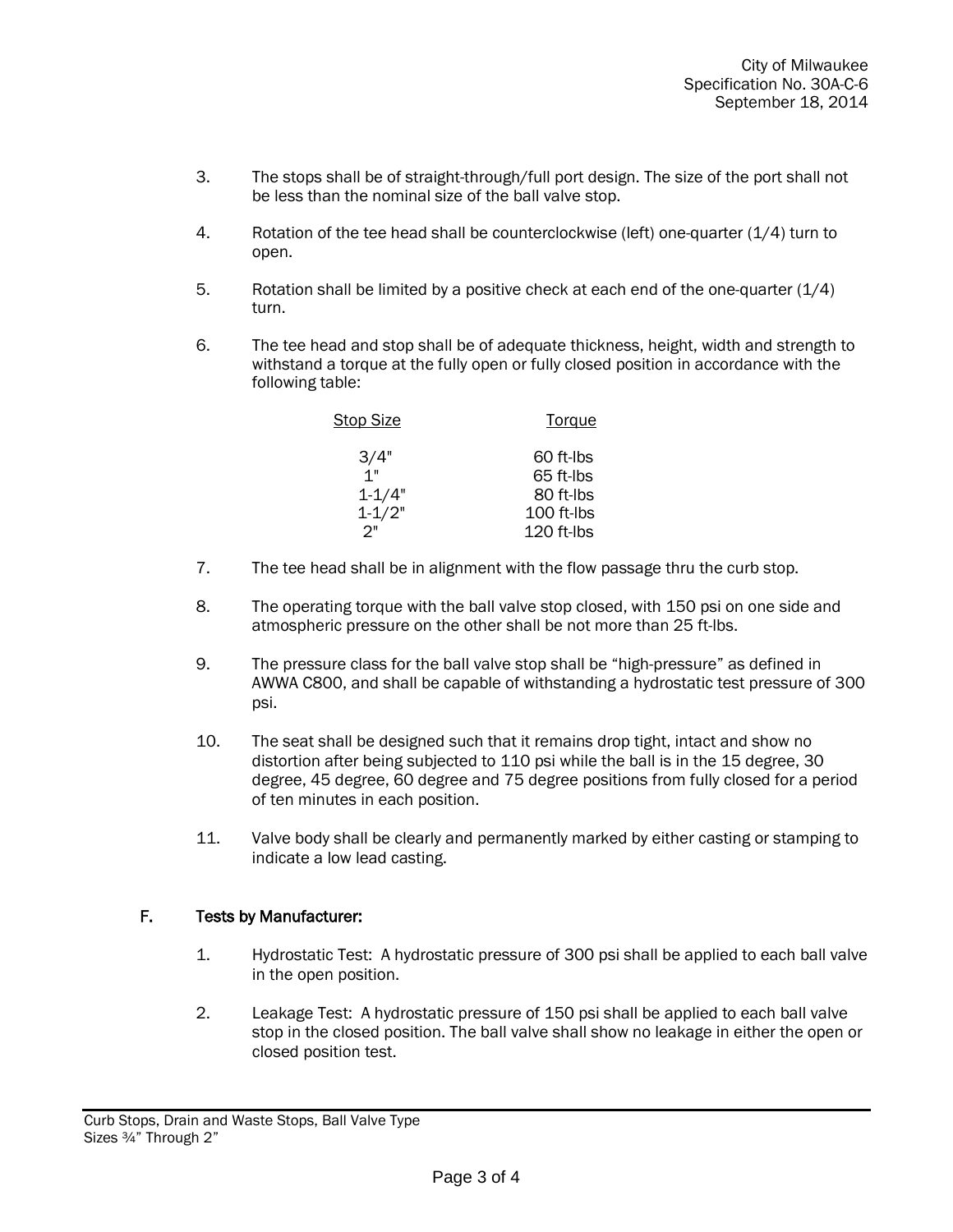- 3. The stops shall be of straight-through/full port design. The size of the port shall not be less than the nominal size of the ball valve stop.
- 4. Rotation of the tee head shall be counterclockwise (left) one-quarter (1/4) turn to open.
- 5. Rotation shall be limited by a positive check at each end of the one-quarter (1/4) turn.
- 6. The tee head and stop shall be of adequate thickness, height, width and strength to withstand a torque at the fully open or fully closed position in accordance with the following table:

| <b>Stop Size</b> | Torque     |
|------------------|------------|
| 3/4"             | 60 ft-lbs  |
| 1"               | 65 ft-lbs  |
| $1 - 1/4"$       | 80 ft-lbs  |
| $1 - 1/2"$       | 100 ft-lbs |
| ク"               | 120 ft-lbs |

- 7. The tee head shall be in alignment with the flow passage thru the curb stop.
- 8. The operating torque with the ball valve stop closed, with 150 psi on one side and atmospheric pressure on the other shall be not more than 25 ft-lbs.
- 9. The pressure class for the ball valve stop shall be "high-pressure" as defined in AWWA C800, and shall be capable of withstanding a hydrostatic test pressure of 300 psi.
- 10. The seat shall be designed such that it remains drop tight, intact and show no distortion after being subjected to 110 psi while the ball is in the 15 degree, 30 degree, 45 degree, 60 degree and 75 degree positions from fully closed for a period of ten minutes in each position.
- 11. Valve body shall be clearly and permanently marked by either casting or stamping to indicate a low lead casting.

### F. Tests by Manufacturer:

- 1. Hydrostatic Test: A hydrostatic pressure of 300 psi shall be applied to each ball valve in the open position.
- 2. Leakage Test: A hydrostatic pressure of 150 psi shall be applied to each ball valve stop in the closed position. The ball valve shall show no leakage in either the open or closed position test.